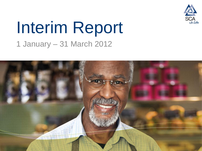

# Interim Report 1 January – 31 March 2012

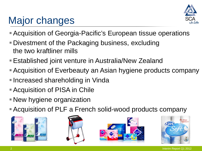

# Major changes

- Acquisition of Georgia-Pacific's European tissue operations
- Divestment of the Packaging business, excluding the two kraftliner mills
- Established joint venture in Australia/New Zealand
- Acquisition of Everbeauty an Asian hygiene products company
- **Increased shareholding in Vinda**
- Acquisition of PISA in Chile
- New hygiene organization
- Acquisition of PLF a French solid-wood products company







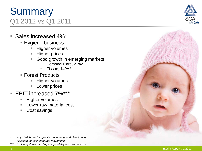#### 3 Interim Report Q1 2012

# **Summary** Q1 2012 vs Q1 2011

- Sales increased 4%\*
	- **Hygiene business** 
		- Higher volumes
		- Higher prices
		- **Good growth in emerging markets** 
			- Personal Care, 23%\*\*
			- Tissue, 14%\*\*
	- Forest Products
		- Higher volumes
		- Lower prices
- EBIT increased 7%\*\*\*
	- Higher volumes
	- Lower raw material cost
	- Cost savings

- *\* Adjusted for exchange rate movements and divestments*
- *\*\* Adjusted for exchange rate movements*

*\*\*\* Excluding items affecting comparability and divestments*

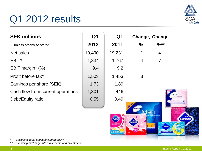# Q1 2012 results



| <b>SEK millions</b>               | Q <sub>1</sub><br>2012 | Q1<br>2011 | Change, Change,   |                |           |
|-----------------------------------|------------------------|------------|-------------------|----------------|-----------|
| unless otherwise stated           |                        |            | $\%$              | $%$ **         |           |
| Net sales                         | 19,490                 | 19,231     | 1                 | $\overline{4}$ |           |
| EBIT <sup>*</sup>                 | 1,834                  | 1,767      | 4                 | 7              |           |
| EBIT margin* (%)                  | 9.4                    | 9.2        |                   |                |           |
| Profit before tax*                | 1,503                  | 1,453      | 3                 |                |           |
| Earnings per share (SEK)          | 1.73                   | 1.89       |                   |                |           |
| Cash flow from current operations | 1,301                  | 446        |                   |                |           |
| Debt/Equity ratio                 | 0.55                   | 0.49       |                   |                | Ultramini |
|                                   |                        |            | NEU<br><b>TEN</b> |                |           |

tampon

*\* Excluding items affecting comparability*

*\* \* Excluding exchange rate movements and divestments*

Libra **CO REGULAR TAMPONS**   $\overline{14}$ 

Libresse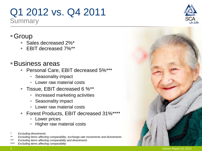## Q1 2012 vs. Q4 2011 **Summary**

## ■ Group

- ◆ Sales decreased 2%\*
- EBIT decreased 7%\*\*

## Business areas

- ◆ Personal Care, EBIT decreased 5%\*\*\*
	- Seasonality impact
	- Lower raw material costs
- Tissue, EBIT decreased 6 %\*\*
	- Increased marketing activities
	- Seasonality impact
	- Lower raw material costs
- Forest Products, EBIT decreased 31%\*\*\*\*
	- Lower prices
	- Higher raw material costs
- *\* Excluding divestments*
- *\*\* Excluding items affecting comparability, exchange rate movements and divestments*
- *\*\*\* Excluding items affecting comparability and divestments*
- *Excluding items affecting comparability*



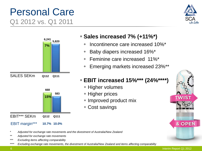# Personal Care Q1 2012 vs. Q1 2011







#### EBIT margin\*\*\* **10.7% 10.0%**

#### *\* Adjusted for exchange rate movements and the divestment of Australia/New Zealand*

- *\*\* Adjusted for exchange rate movements*
- *\*\*\* Excluding items affecting comparability*
- *\*\*\*\* Excluding exchange rate movements, the divestment of Australia/New Zealand and items affecting comparability*

### **Sales increased 7% (+11%\*)**

- Incontinence care increased 10%\*
- Baby diapers increased 16%\*
- Feminine care increased 11%\*
- Emerging markets increased 23%\*\*

### **EBIT increased 15%\*\*\* (24%\*\*\*\*)**

- **+ Higher volumes**
- ◆ Higher prices
- Improved product mix
- Cost savings

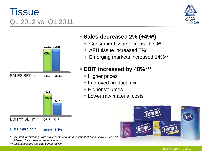# **Tissue** Q1 2012 vs. Q1 2011





#### EBIT margin\*\*\* **10.1% 6.8%**

*\* Adjusted for exchange rate movements and the divestment of Australia/New Zealand*

*\*\* Adjusted for exchange rate movements*

*\*\*\* Excluding items affecting comparability*

#### **Sales decreased 2% (+4%\*)**

- Consumer tissue increased 7%\*
- AFH tissue increased 2%\*
- Emerging markets increased 14%\*\*

#### **EBIT increased by 48%\*\*\***

- ◆ Higher prices
- Improved product mix
- **+ Higher volumes**
- Lower raw material costs

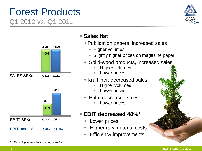# Forest Products Q1 2012 vs. Q1 2011





### **Sales flat**

- Publication papers, increased sales
	- Higher volumes
	- Slightly higher prices on magazine paper
- ◆ Solid-wood products, increased sales
	- **Higher volumes**
	- Lower prices
- **Kraftliner, decreased sales** 
	- **Higher volumes**
	- Lower prices
- Pulp, decreased sales
	- Lower prices

#### **EBIT decreased 48%\***

- Lower prices
- Higher raw material costs
- Efficiency improvements

*\* Excluding items affecting comparability*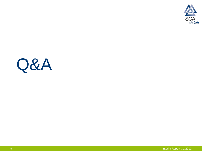

# Q&A